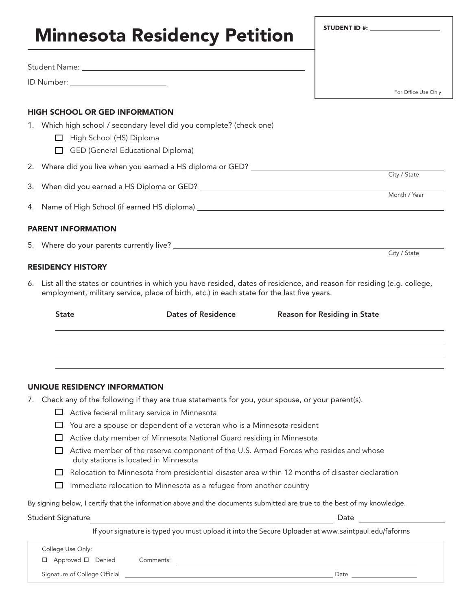# Minnesota Residency Petition Student Name: ID Number: For Office Use Only HIGH SCHOOL OR GED INFORMATION 1. Which high school / secondary level did you complete? (check one)  $\Box$  High School (HS) Diploma  $\Box$  GED (General Educational Diploma) 2. Where did you live when you earned a HS diploma or GED? City / State 3. When did you earned a HS Diploma or GED? Month / Year 4. Name of High School (if earned HS diploma)

## PARENT INFORMATION

5. Where do your parents currently live?

## RESIDENCY HISTORY

6. List all the states or countries in which you have resided, dates of residence, and reason for residing (e.g. college, employment, military service, place of birth, etc.) in each state for the last five years.

| <b>State</b> | <b>Dates of Residence</b> | <b>Reason for Residing in State</b> |
|--------------|---------------------------|-------------------------------------|
|              |                           |                                     |
|              |                           |                                     |
|              |                           |                                     |

#### UNIQUE RESIDENCY INFORMATION

- 7. Check any of the following if they are true statements for you, your spouse, or your parent(s).
	- $\Box$  Active federal military service in Minnesota
	- $\Box$  You are a spouse or dependent of a veteran who is a Minnesota resident
	- $\Box$  Active duty member of Minnesota National Guard residing in Minnesota
	- $\Box$  Active member of the reserve component of the U.S. Armed Forces who resides and whose duty stations is located in Minnesota
	- $\Box$  Relocation to Minnesota from presidential disaster area within 12 months of disaster declaration
	- $\Box$  Immediate relocation to Minnesota as a refugee from another country

By signing below, I certify that the information above and the documents submitted are true to the best of my knowledge.

#### Student Signature **Date**

City / State

If your signature is typed you must upload it into the Secure Uploader at www.saintpaul.edu/faforms

| College Use Only:             |           |      |
|-------------------------------|-----------|------|
| □ Approved □ Denied           | Comments: |      |
| Signature of College Official |           | Date |